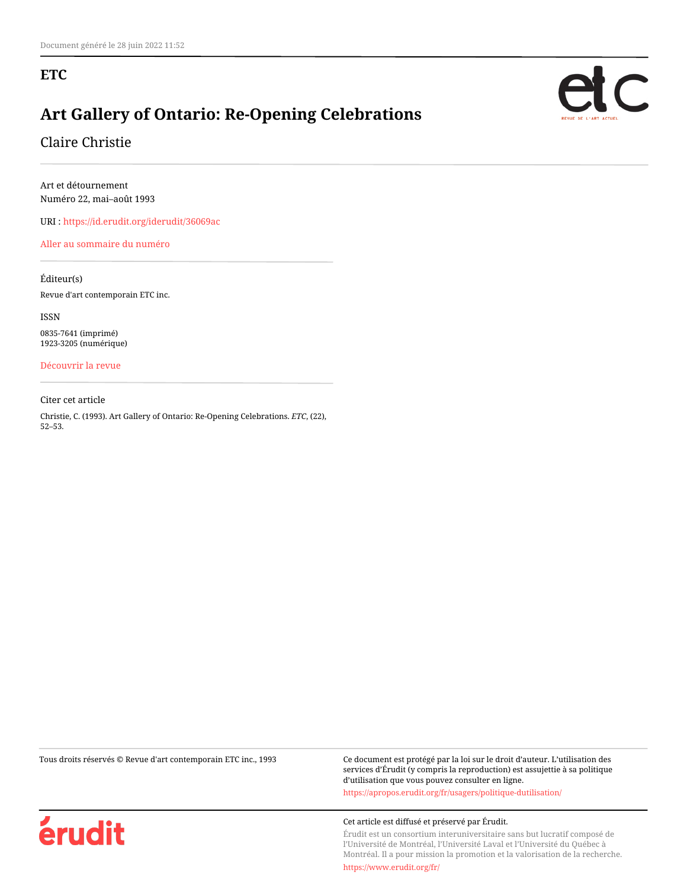#### **ETC**

## **Art Gallery of Ontario: Re-Opening Celebrations**

Claire Christie

Art et détournement Numéro 22, mai–août 1993

URI :<https://id.erudit.org/iderudit/36069ac>

[Aller au sommaire du numéro](https://www.erudit.org/fr/revues/etc/1993-n22-etc1088387/)

Éditeur(s)

Revue d'art contemporain ETC inc.

ISSN 0835-7641 (imprimé) 1923-3205 (numérique)

[Découvrir la revue](https://www.erudit.org/fr/revues/etc/)

Citer cet article

Christie, C. (1993). Art Gallery of Ontario: Re-Opening Celebrations. *ETC*, (22), 52–53.

érudit

Tous droits réservés © Revue d'art contemporain ETC inc., 1993 Ce document est protégé par la loi sur le droit d'auteur. L'utilisation des services d'Érudit (y compris la reproduction) est assujettie à sa politique d'utilisation que vous pouvez consulter en ligne. <https://apropos.erudit.org/fr/usagers/politique-dutilisation/>

Cet article est diffusé et préservé par Érudit.

Érudit est un consortium interuniversitaire sans but lucratif composé de l'Université de Montréal, l'Université Laval et l'Université du Québec à Montréal. Il a pour mission la promotion et la valorisation de la recherche.

<https://www.erudit.org/fr/>

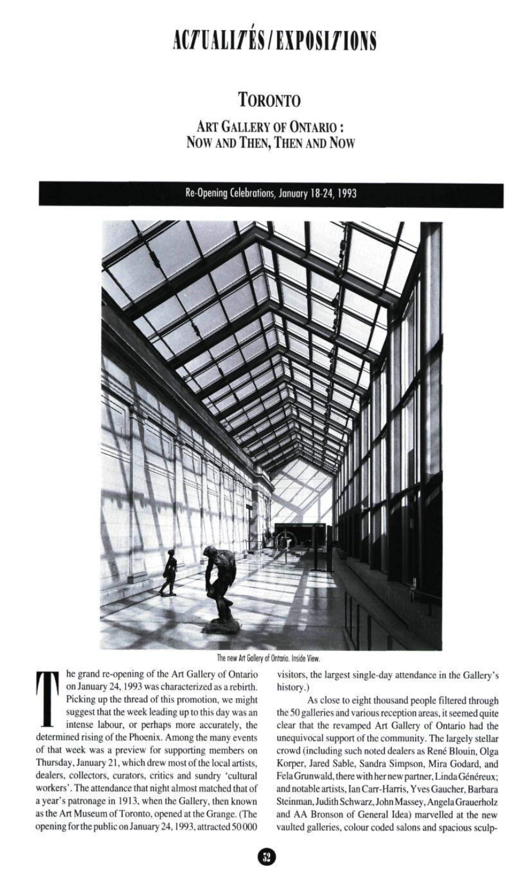# ACZUALIZÉS/EXPOSIZIONS

## **TORONTO**

### ART GALLERY OF ONTARIO : Now AND THEN, THEN AND NOW

Re-Opening Celebrations, January 18-24,1993



The new Art Gallery of Ontario. Inside View.

Picking up the thread of this promotion, we might<br>suggest that the week leading up to this day was an<br>intense labour, or perhaps more accurately, the<br>determined rising of the Phoenix. Among the many events he grand re-opening of the Art Gallery of Ontario on January 24,1993 was characterized as a rebirth. Picking up the thread of this promotion, we might suggest that the week leading up to this day was an intense labour, or perhaps more accurately, the of that week was a preview for supporting members on Thursday, January 21, which drew most of the local artists, dealers, collectors, curators, critics and sundry 'cultural workers'. The attendance that night almost matched that of a year's patronage in 1913, when the Gallery, then known as the Art Museum of Toronto, opened at the Grange. (The opening for the public on January 24,1993, attracted 50 000

visitors, the largest single-day attendance in the Gallery's history.)

As close to eight thousand people filtered through the 50 galleries and various reception areas, it seemed quite clear that the revamped Art Gallery of Ontario had the unequivocal support of the community. The largely stellar crowd (including such noted dealers as René Blouin, Olga Korper, Jared Sable, Sandra Simpson, Mira Godard, and Fela Grunwald, there with her new partner, Linda Généreux; and notable artists, Ian Carr-Harris, Yves Gaucher, Barbara Steinman, Judith Schwarz, John Massey, Angela Grauerholz and AA Bronson of General Idea) marvelled at the new vaulted galleries, colour coded salons and spacious sculp-